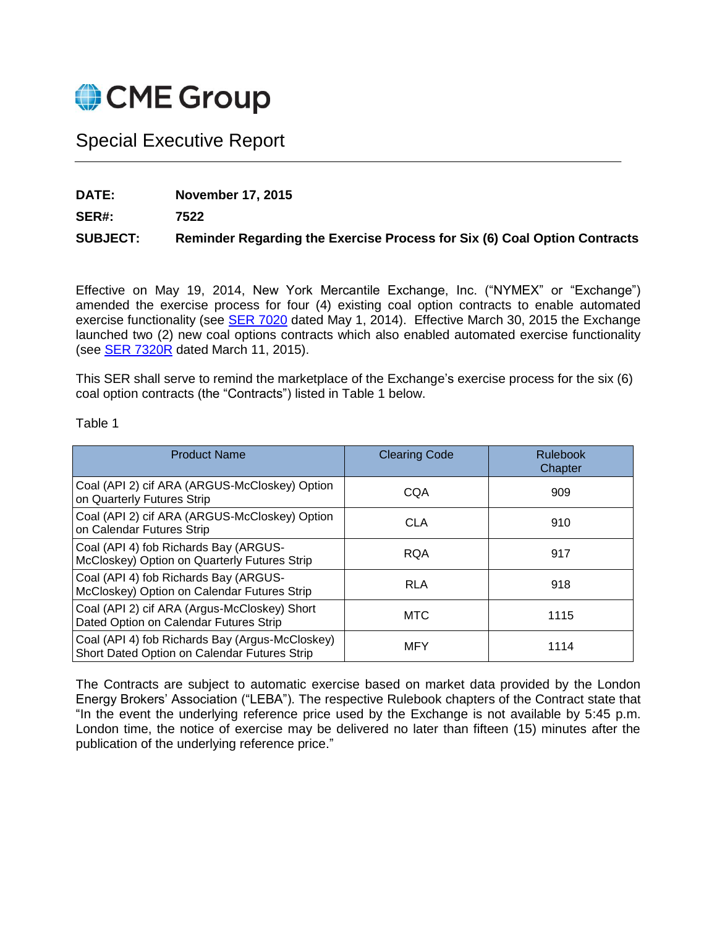

## Special Executive Report

**DATE: November 17, 2015**

**SER#: 7522**

## **SUBJECT: Reminder Regarding the Exercise Process for Six (6) Coal Option Contracts**

Effective on May 19, 2014, New York Mercantile Exchange, Inc. ("NYMEX" or "Exchange") amended the exercise process for four (4) existing coal option contracts to enable automated exercise functionality (see **SER 7020** dated May 1, 2014). Effective March 30, 2015 the Exchange launched two (2) new coal options contracts which also enabled automated exercise functionality (see [SER 7320R](http://www.cmegroup.com/tools-information/lookups/advisories/ser/SER-7320R.html) dated March 11, 2015).

This SER shall serve to remind the marketplace of the Exchange's exercise process for the six (6) coal option contracts (the "Contracts") listed in Table 1 below.

## Table 1

| <b>Product Name</b>                                                                             | <b>Clearing Code</b> | <b>Rulebook</b><br>Chapter |
|-------------------------------------------------------------------------------------------------|----------------------|----------------------------|
| Coal (API 2) cif ARA (ARGUS-McCloskey) Option<br>on Quarterly Futures Strip                     | CQA                  | 909                        |
| Coal (API 2) cif ARA (ARGUS-McCloskey) Option<br>on Calendar Futures Strip                      | <b>CLA</b>           | 910                        |
| Coal (API 4) fob Richards Bay (ARGUS-<br>McCloskey) Option on Quarterly Futures Strip           | <b>RQA</b>           | 917                        |
| Coal (API 4) fob Richards Bay (ARGUS-<br>McCloskey) Option on Calendar Futures Strip            | RLA                  | 918                        |
| Coal (API 2) cif ARA (Argus-McCloskey) Short<br>Dated Option on Calendar Futures Strip          | <b>MTC</b>           | 1115                       |
| Coal (API 4) fob Richards Bay (Argus-McCloskey)<br>Short Dated Option on Calendar Futures Strip | <b>MFY</b>           | 1114                       |

The Contracts are subject to automatic exercise based on market data provided by the London Energy Brokers' Association ("LEBA"). The respective Rulebook chapters of the Contract state that "In the event the underlying reference price used by the Exchange is not available by 5:45 p.m. London time, the notice of exercise may be delivered no later than fifteen (15) minutes after the publication of the underlying reference price."